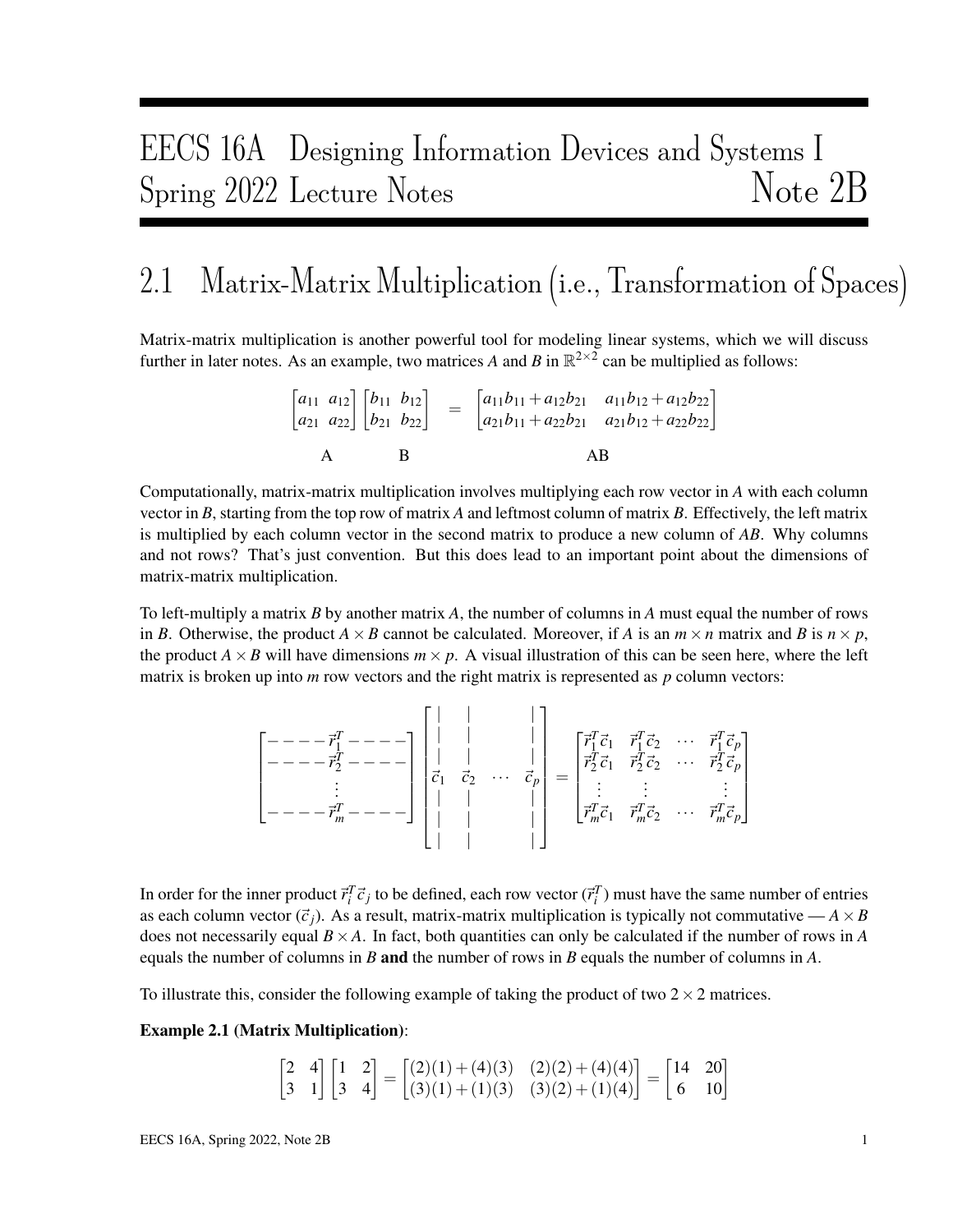# EECS 16A Designing Information Devices and Systems I Spring 2022 Lecture Notes Note 2B

## 2.1 Matrix-Matrix Multiplication (i.e., Transformation of Spaces)

Matrix-matrix multiplication is another powerful tool for modeling linear systems, which we will discuss further in later notes. As an example, two matrices A and B in  $\mathbb{R}^{2\times 2}$  can be multiplied as follows:

> $\begin{bmatrix} a_{11} & a_{12} \\ a_{21} & a_{22} \end{bmatrix} \begin{bmatrix} b_{11} & b_{12} \\ b_{21} & b_{22} \end{bmatrix} = \begin{bmatrix} a_{11}b_{11} + a_{12}b_{21} & a_{11}b_{12} + a_{12}b_{22} \\ a_{21}b_{11} + a_{22}b_{21} & a_{21}b_{12} + a_{22}b_{22} \end{bmatrix}$  $A$  B  $AB$

Computationally, matrix-matrix multiplication involves multiplying each row vector in *A* with each column vector in *B*, starting from the top row of matrix *A* and leftmost column of matrix *B*. Effectively, the left matrix is multiplied by each column vector in the second matrix to produce a new column of *AB*. Why columns and not rows? That's just convention. But this does lead to an important point about the dimensions of matrix-matrix multiplication.

To left-multiply a matrix *B* by another matrix *A*, the number of columns in *A* must equal the number of rows in *B*. Otherwise, the product  $A \times B$  cannot be calculated. Moreover, if *A* is an  $m \times n$  matrix and *B* is  $n \times p$ , the product  $A \times B$  will have dimensions  $m \times p$ . A visual illustration of this can be seen here, where the left matrix is broken up into *m* row vectors and the right matrix is represented as *p* column vectors:

$$
\begin{bmatrix}\n- & - & -\vec{r}_1^T & - & - & - \\
- & - & -\vec{r}_2^T & - & - & - \\
\vdots & & & & \vdots \\
- & - & -\vec{r}_m^T & - & - & -\n\end{bmatrix}\n\begin{bmatrix}\n| & | & & | \\
| & | & & & | \\
\vdots & & & & \vdots \\
\vec{c}_1 & \vec{c}_2 & \cdots & \vec{c}_p \\
\vdots & & & & \vdots \\
| & & & & \vdots \\
| & & & & & \vdots \\
\end{bmatrix}\n=\n\begin{bmatrix}\n\vec{r}_1^T \vec{c}_1 & \vec{r}_1^T \vec{c}_2 & \cdots & \vec{r}_1^T \vec{c}_p \\
\vec{r}_2^T \vec{c}_1 & \vec{r}_2^T \vec{c}_2 & \cdots & \vec{r}_2^T \vec{c}_p \\
\vdots & \vdots & & & \vdots \\
\vec{r}_m^T \vec{c}_1 & \vec{r}_m^T \vec{c}_2 & \cdots & \vec{r}_m^T \vec{c}_p\n\end{bmatrix}
$$

In order for the inner product  $\vec{r}_i^T \vec{c}_j$  to be defined, each row vector  $(\vec{r}_i^T)$  must have the same number of entries as each column vector  $(\vec{c}_i)$ . As a result, matrix-matrix multiplication is typically not commutative  $-A \times B$ does not necessarily equal  $B \times A$ . In fact, both quantities can only be calculated if the number of rows in *A* equals the number of columns in *B* and the number of rows in *B* equals the number of columns in *A*.

To illustrate this, consider the following example of taking the product of two  $2 \times 2$  matrices.

#### Example 2.1 (Matrix Multiplication):

$$
\begin{bmatrix} 2 & 4 \\ 3 & 1 \end{bmatrix} \begin{bmatrix} 1 & 2 \\ 3 & 4 \end{bmatrix} = \begin{bmatrix} (2)(1) + (4)(3) & (2)(2) + (4)(4) \\ (3)(1) + (1)(3) & (3)(2) + (1)(4) \end{bmatrix} = \begin{bmatrix} 14 & 20 \\ 6 & 10 \end{bmatrix}
$$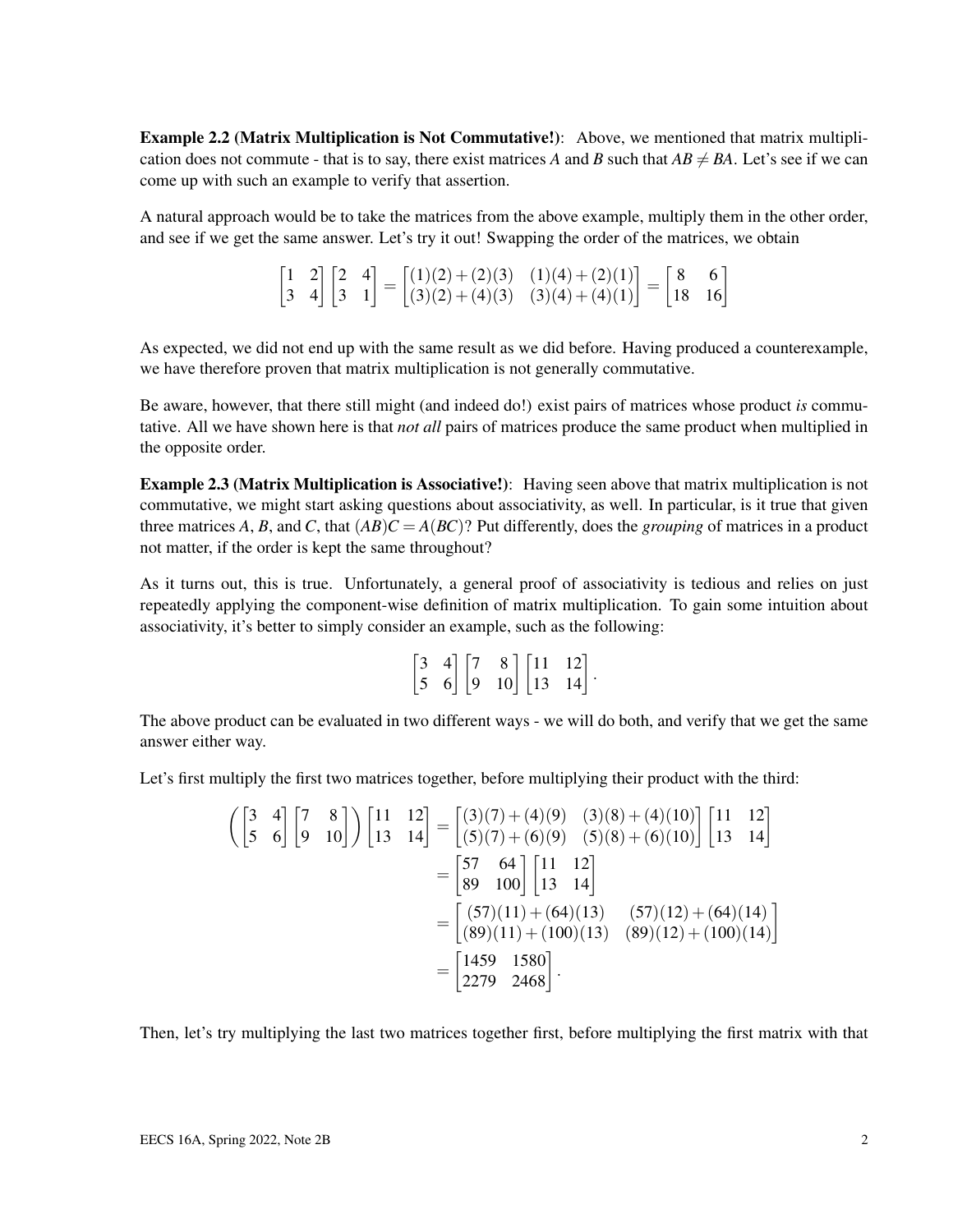Example 2.2 (Matrix Multiplication is Not Commutative!): Above, we mentioned that matrix multiplication does not commute - that is to say, there exist matrices A and B such that  $AB \neq BA$ . Let's see if we can come up with such an example to verify that assertion.

A natural approach would be to take the matrices from the above example, multiply them in the other order, and see if we get the same answer. Let's try it out! Swapping the order of the matrices, we obtain

$$
\begin{bmatrix} 1 & 2 \\ 3 & 4 \end{bmatrix} \begin{bmatrix} 2 & 4 \\ 3 & 1 \end{bmatrix} = \begin{bmatrix} (1)(2) + (2)(3) & (1)(4) + (2)(1) \\ (3)(2) + (4)(3) & (3)(4) + (4)(1) \end{bmatrix} = \begin{bmatrix} 8 & 6 \\ 18 & 16 \end{bmatrix}
$$

As expected, we did not end up with the same result as we did before. Having produced a counterexample, we have therefore proven that matrix multiplication is not generally commutative.

Be aware, however, that there still might (and indeed do!) exist pairs of matrices whose product *is* commutative. All we have shown here is that *not all* pairs of matrices produce the same product when multiplied in the opposite order.

Example 2.3 (Matrix Multiplication is Associative!): Having seen above that matrix multiplication is not commutative, we might start asking questions about associativity, as well. In particular, is it true that given three matrices *A*, *B*, and *C*, that  $(AB)C = A(BC)$ ? Put differently, does the *grouping* of matrices in a product not matter, if the order is kept the same throughout?

As it turns out, this is true. Unfortunately, a general proof of associativity is tedious and relies on just repeatedly applying the component-wise definition of matrix multiplication. To gain some intuition about associativity, it's better to simply consider an example, such as the following:

|  |  | $\begin{bmatrix} 3 & 4 \\ 5 & 6 \end{bmatrix} \begin{bmatrix} 7 & 8 \\ 9 & 10 \end{bmatrix} \begin{bmatrix} 11 & 12 \\ 13 & 14 \end{bmatrix}.$ |
|--|--|------------------------------------------------------------------------------------------------------------------------------------------------|

The above product can be evaluated in two different ways - we will do both, and verify that we get the same answer either way.

Let's first multiply the first two matrices together, before multiplying their product with the third:

$$
\begin{aligned}\n\left(\begin{bmatrix} 3 & 4 \\ 5 & 6 \end{bmatrix} \begin{bmatrix} 7 & 8 \\ 9 & 10 \end{bmatrix}\right) \begin{bmatrix} 11 & 12 \\ 13 & 14 \end{bmatrix} &= \begin{bmatrix} (3)(7) + (4)(9) & (3)(8) + (4)(10) \\ (5)(7) + (6)(9) & (5)(8) + (6)(10) \end{bmatrix} \begin{bmatrix} 11 & 12 \\ 13 & 14 \end{bmatrix} \\
&= \begin{bmatrix} 57 & 64 \\ 89 & 100 \end{bmatrix} \begin{bmatrix} 11 & 12 \\ 13 & 14 \end{bmatrix} \\
&= \begin{bmatrix} (57)(11) + (64)(13) & (57)(12) + (64)(14) \\ (89)(11) + (100)(13) & (89)(12) + (100)(14) \end{bmatrix} \\
&= \begin{bmatrix} 1459 & 1580 \\ 2279 & 2468 \end{bmatrix}.\n\end{aligned}
$$

Then, let's try multiplying the last two matrices together first, before multiplying the first matrix with that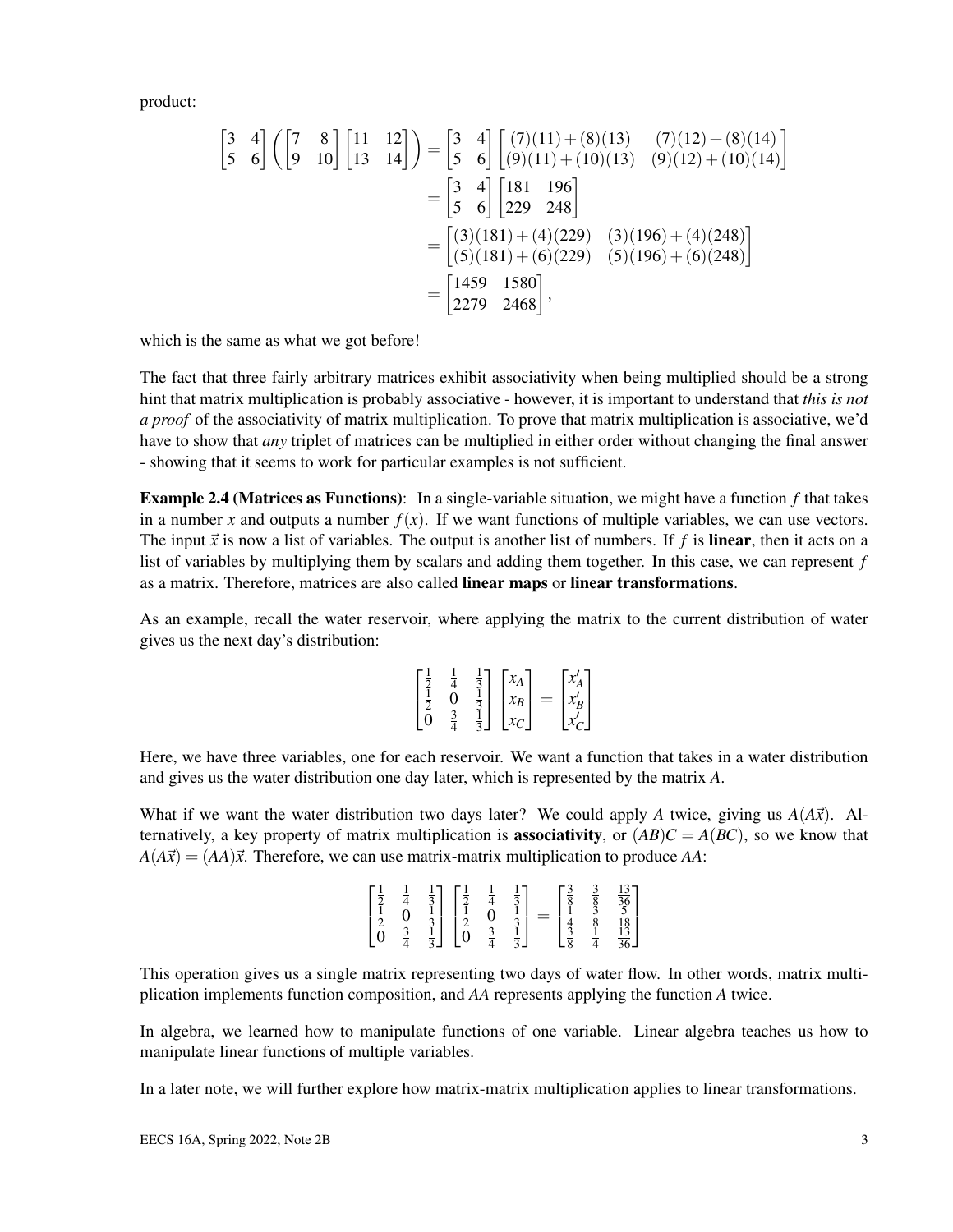product:

$$
\begin{bmatrix} 3 & 4 \ 5 & 6 \end{bmatrix} \begin{bmatrix} 7 & 8 \ 9 & 10 \end{bmatrix} \begin{bmatrix} 11 & 12 \ 13 & 14 \end{bmatrix} = \begin{bmatrix} 3 & 4 \ 5 & 6 \end{bmatrix} \begin{bmatrix} (7)(11) + (8)(13) & (7)(12) + (8)(14) \ (9)(12) + (10)(14) \end{bmatrix}
$$

$$
= \begin{bmatrix} 3 & 4 \ 5 & 6 \end{bmatrix} \begin{bmatrix} 181 & 196 \ 229 & 248 \end{bmatrix}
$$

$$
= \begin{bmatrix} (3)(181) + (4)(229) & (3)(196) + (4)(248) \ (5)(181) + (6)(229) & (5)(196) + (6)(248) \end{bmatrix}
$$

$$
= \begin{bmatrix} 1459 & 1580 \ 2279 & 2468 \end{bmatrix},
$$

which is the same as what we got before!

The fact that three fairly arbitrary matrices exhibit associativity when being multiplied should be a strong hint that matrix multiplication is probably associative - however, it is important to understand that *this is not a proof* of the associativity of matrix multiplication. To prove that matrix multiplication is associative, we'd have to show that *any* triplet of matrices can be multiplied in either order without changing the final answer - showing that it seems to work for particular examples is not sufficient.

Example 2.4 (Matrices as Functions): In a single-variable situation, we might have a function *f* that takes in a number *x* and outputs a number  $f(x)$ . If we want functions of multiple variables, we can use vectors. The input  $\vec{x}$  is now a list of variables. The output is another list of numbers. If  $f$  is **linear**, then it acts on a list of variables by multiplying them by scalars and adding them together. In this case, we can represent *f* as a matrix. Therefore, matrices are also called linear maps or linear transformations.

As an example, recall the water reservoir, where applying the matrix to the current distribution of water gives us the next day's distribution:

| ി | $\overline{2}$ | $\chi_A$<br>$x_B$<br>$\chi_C$ | = | $c'_B$<br>$r'_{c}$ |  |
|---|----------------|-------------------------------|---|--------------------|--|
|---|----------------|-------------------------------|---|--------------------|--|

Here, we have three variables, one for each reservoir. We want a function that takes in a water distribution and gives us the water distribution one day later, which is represented by the matrix *A*.

What if we want the water distribution two days later? We could apply A twice, giving us  $A(A\vec{x})$ . Alternatively, a key property of matrix multiplication is **associativity**, or  $(AB)C = A(BC)$ , so we know that  $A(A\vec{x}) = (AA)\vec{x}$ . Therefore, we can use matrix-matrix multiplication to produce *AA*:

| $\begin{bmatrix} \frac{1}{2} \\ \frac{1}{2} \\ 0 \end{bmatrix}$ | $\frac{1}{4}$<br>0<br>$\frac{3}{4}$ | $\frac{1}{3}$<br>$\frac{1}{3}$<br>$\frac{1}{3}$ | $\begin{bmatrix} \frac{1}{2} \\ \frac{1}{2} \\ 0 \end{bmatrix}$ | $\frac{1}{4}$<br>$\frac{3}{4}$ | $\frac{1}{3}$<br>$\frac{1}{3}$<br>$\frac{1}{3}$ | $\begin{bmatrix} \frac{3}{8} \\ \frac{1}{4} \\ \frac{3}{8} \end{bmatrix}$<br>$=$ | $\frac{3}{8}$ $\frac{3}{8}$ $\frac{3}{8}$ $\frac{1}{4}$ | $\frac{13}{36}$<br>$\frac{5}{18}$<br>$\frac{13}{36}$ |
|-----------------------------------------------------------------|-------------------------------------|-------------------------------------------------|-----------------------------------------------------------------|--------------------------------|-------------------------------------------------|----------------------------------------------------------------------------------|---------------------------------------------------------|------------------------------------------------------|
|-----------------------------------------------------------------|-------------------------------------|-------------------------------------------------|-----------------------------------------------------------------|--------------------------------|-------------------------------------------------|----------------------------------------------------------------------------------|---------------------------------------------------------|------------------------------------------------------|

This operation gives us a single matrix representing two days of water flow. In other words, matrix multiplication implements function composition, and *AA* represents applying the function *A* twice.

In algebra, we learned how to manipulate functions of one variable. Linear algebra teaches us how to manipulate linear functions of multiple variables.

In a later note, we will further explore how matrix-matrix multiplication applies to linear transformations.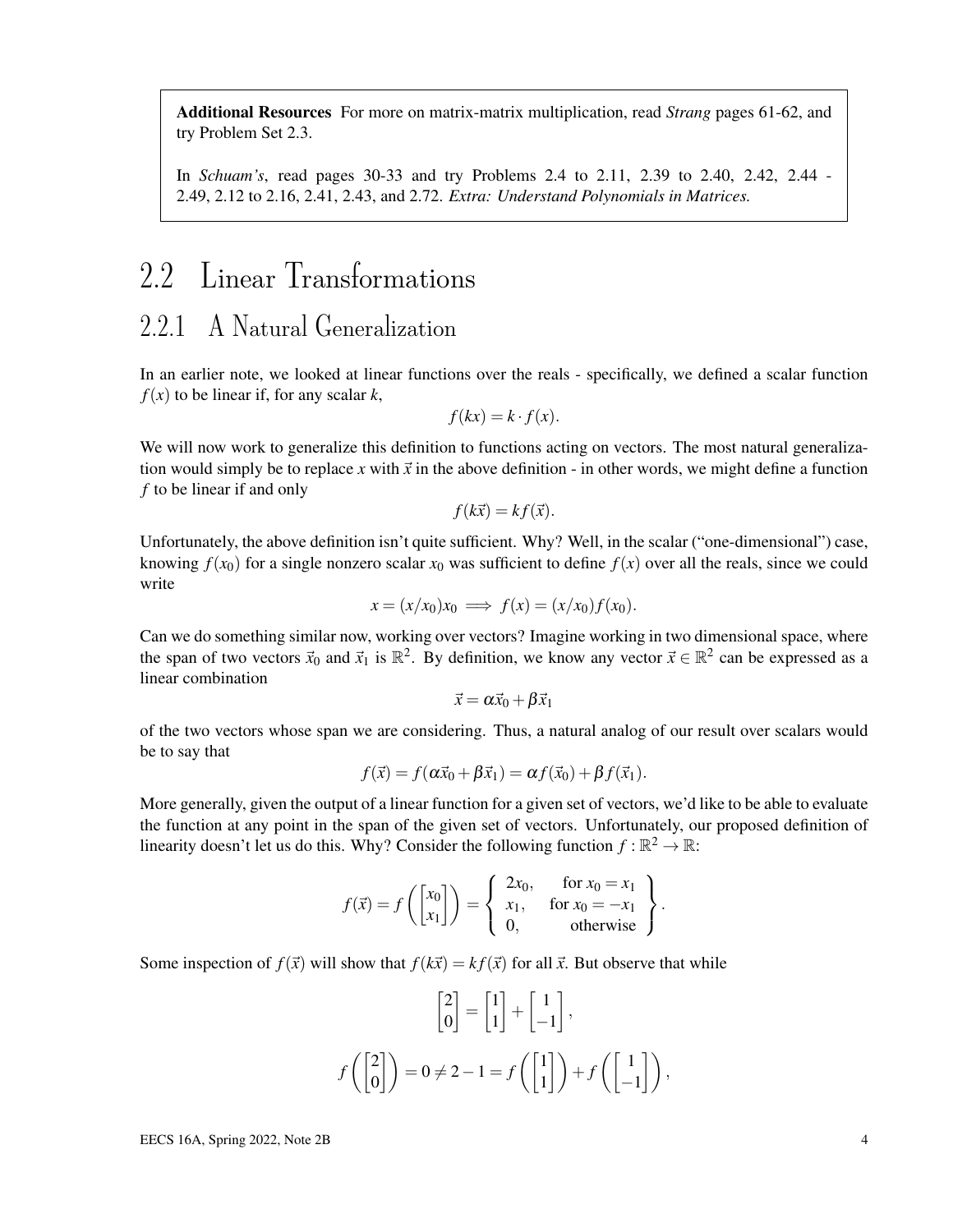Additional Resources For more on matrix-matrix multiplication, read *Strang* pages 61-62, and try Problem Set 2.3.

In *Schuam's*, read pages 30-33 and try Problems 2.4 to 2.11, 2.39 to 2.40, 2.42, 2.44 - 2.49, 2.12 to 2.16, 2.41, 2.43, and 2.72. *Extra: Understand Polynomials in Matrices.*

## 2.2 Linear Transformations

### 2.2.1 A Natural Generalization

In an earlier note, we looked at linear functions over the reals - specifically, we defined a scalar function  $f(x)$  to be linear if, for any scalar *k*,

$$
f(kx) = k \cdot f(x).
$$

We will now work to generalize this definition to functions acting on vectors. The most natural generalization would simply be to replace *x* with  $\vec{x}$  in the above definition - in other words, we might define a function *f* to be linear if and only

$$
f(k\vec{x}) = kf(\vec{x}).
$$

Unfortunately, the above definition isn't quite sufficient. Why? Well, in the scalar ("one-dimensional") case, knowing  $f(x_0)$  for a single nonzero scalar  $x_0$  was sufficient to define  $f(x)$  over all the reals, since we could write

$$
x = (x/x_0)x_0 \implies f(x) = (x/x_0)f(x_0).
$$

Can we do something similar now, working over vectors? Imagine working in two dimensional space, where the span of two vectors  $\vec{x}_0$  and  $\vec{x}_1$  is  $\mathbb{R}^2$ . By definition, we know any vector  $\vec{x} \in \mathbb{R}^2$  can be expressed as a linear combination

$$
\vec{x} = \alpha \vec{x}_0 + \beta \vec{x}_1
$$

of the two vectors whose span we are considering. Thus, a natural analog of our result over scalars would be to say that

$$
f(\vec{x}) = f(\alpha \vec{x}_0 + \beta \vec{x}_1) = \alpha f(\vec{x}_0) + \beta f(\vec{x}_1).
$$

More generally, given the output of a linear function for a given set of vectors, we'd like to be able to evaluate the function at any point in the span of the given set of vectors. Unfortunately, our proposed definition of linearity doesn't let us do this. Why? Consider the following function  $f : \mathbb{R}^2 \to \mathbb{R}$ :

$$
f(\vec{x}) = f\left(\begin{bmatrix} x_0 \\ x_1 \end{bmatrix}\right) = \begin{cases} 2x_0, & \text{for } x_0 = x_1 \\ x_1, & \text{for } x_0 = -x_1 \\ 0, & \text{otherwise} \end{cases}.
$$

Some inspection of  $f(\vec{x})$  will show that  $f(k\vec{x}) = kf(\vec{x})$  for all  $\vec{x}$ . But observe that while

$$
\begin{bmatrix} 2 \\ 0 \end{bmatrix} = \begin{bmatrix} 1 \\ 1 \end{bmatrix} + \begin{bmatrix} 1 \\ -1 \end{bmatrix},
$$

$$
f\left(\begin{bmatrix} 2 \\ 0 \end{bmatrix}\right) = 0 \neq 2 - 1 = f\left(\begin{bmatrix} 1 \\ 1 \end{bmatrix}\right) + f\left(\begin{bmatrix} 1 \\ -1 \end{bmatrix}\right),
$$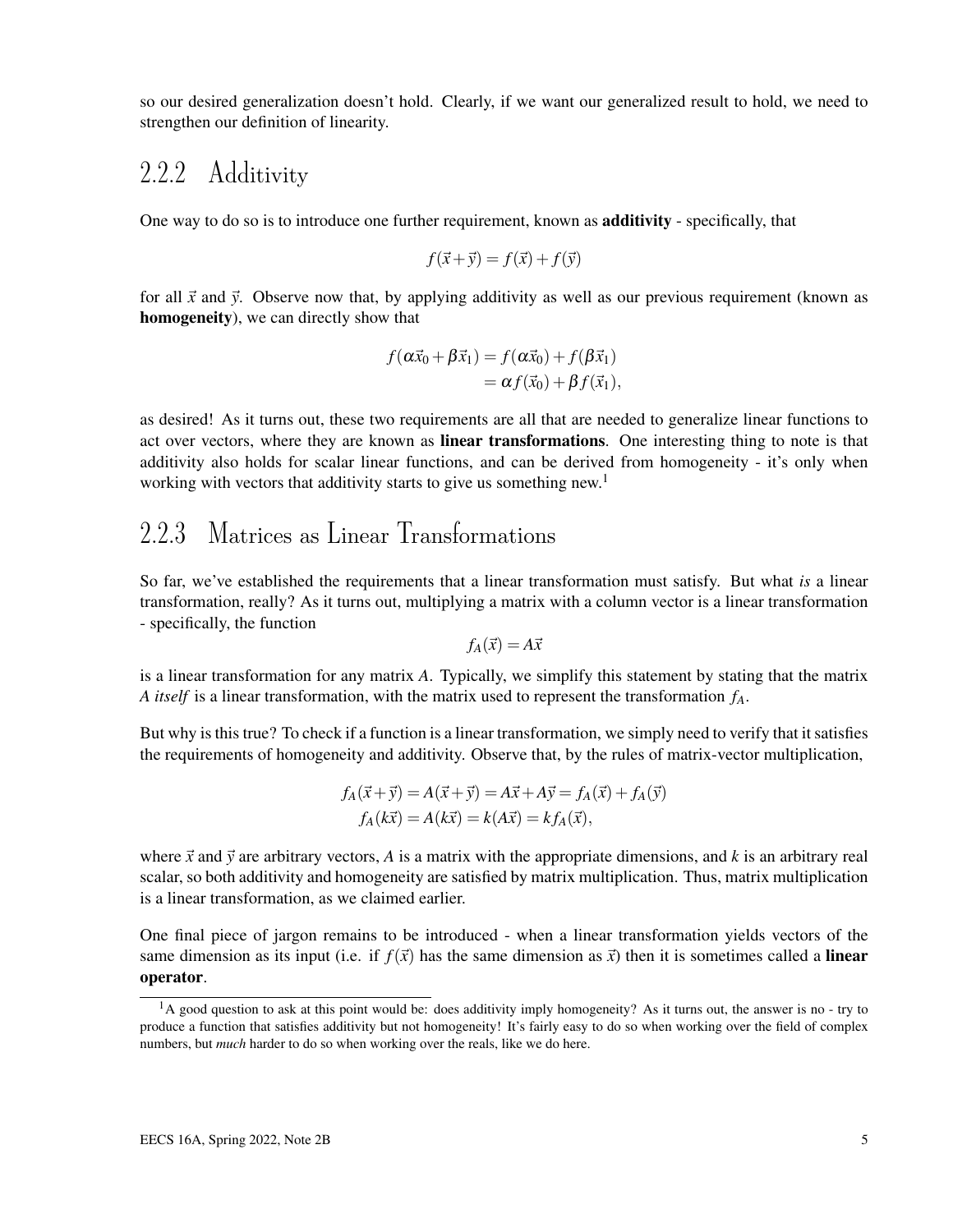so our desired generalization doesn't hold. Clearly, if we want our generalized result to hold, we need to strengthen our definition of linearity.

### 2.2.2 Additivity

One way to do so is to introduce one further requirement, known as additivity - specifically, that

$$
f(\vec{x} + \vec{y}) = f(\vec{x}) + f(\vec{y})
$$

for all  $\vec{x}$  and  $\vec{y}$ . Observe now that, by applying additivity as well as our previous requirement (known as homogeneity), we can directly show that

$$
f(\alpha \vec{x}_0 + \beta \vec{x}_1) = f(\alpha \vec{x}_0) + f(\beta \vec{x}_1)
$$
  
=  $\alpha f(\vec{x}_0) + \beta f(\vec{x}_1)$ ,

as desired! As it turns out, these two requirements are all that are needed to generalize linear functions to act over vectors, where they are known as **linear transformations**. One interesting thing to note is that additivity also holds for scalar linear functions, and can be derived from homogeneity - it's only when working with vectors that additivity starts to give us something new.<sup>1</sup>

### 2.2.3 Matrices as Linear Transformations

So far, we've established the requirements that a linear transformation must satisfy. But what *is* a linear transformation, really? As it turns out, multiplying a matrix with a column vector is a linear transformation - specifically, the function

$$
f_A(\vec{x}) = A\vec{x}
$$

is a linear transformation for any matrix *A*. Typically, we simplify this statement by stating that the matrix *A itself* is a linear transformation, with the matrix used to represent the transformation *fA*.

But why is this true? To check if a function is a linear transformation, we simply need to verify that it satisfies the requirements of homogeneity and additivity. Observe that, by the rules of matrix-vector multiplication,

$$
f_A(\vec{x} + \vec{y}) = A(\vec{x} + \vec{y}) = A\vec{x} + A\vec{y} = f_A(\vec{x}) + f_A(\vec{y})
$$
  

$$
f_A(k\vec{x}) = A(k\vec{x}) = k(A\vec{x}) = kf_A(\vec{x}),
$$

where  $\vec{x}$  and  $\vec{y}$  are arbitrary vectors, A is a matrix with the appropriate dimensions, and k is an arbitrary real scalar, so both additivity and homogeneity are satisfied by matrix multiplication. Thus, matrix multiplication is a linear transformation, as we claimed earlier.

One final piece of jargon remains to be introduced - when a linear transformation yields vectors of the same dimension as its input (i.e. if  $f(\vec{x})$  has the same dimension as  $\vec{x}$ ) then it is sometimes called a **linear** operator.

<sup>&</sup>lt;sup>1</sup>A good question to ask at this point would be: does additivity imply homogeneity? As it turns out, the answer is no - try to produce a function that satisfies additivity but not homogeneity! It's fairly easy to do so when working over the field of complex numbers, but *much* harder to do so when working over the reals, like we do here.